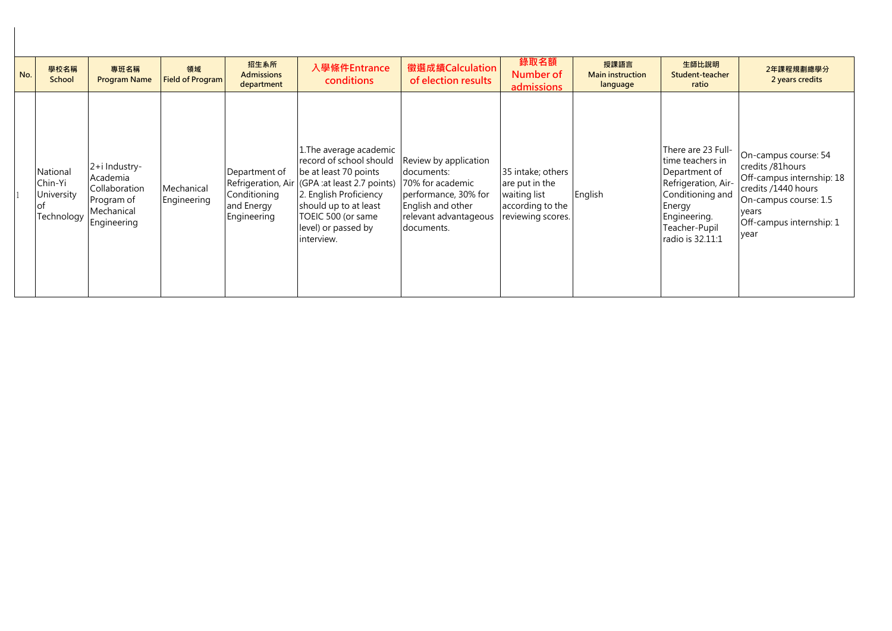| No. | 學校名稱<br>School                                  | 專班名稱<br><b>Program Name</b>                                                           | 領域<br><b>Field of Program</b> | 招生系所<br><b>Admissions</b><br>department                                          | 入學條件Entrance<br>conditions                                                                                                                                                                                              | 徵選成績Calculation<br>of election results                                                                                                      | 錄取名額<br>Number of<br>admissions                                                              | 授課語言<br><b>Main instruction</b><br>language | 生師比說明<br>Student-teacher<br>ratio                                                                                                                                 | 2年課程規劃總學分<br>2 years credits                                                                                                                                       |
|-----|-------------------------------------------------|---------------------------------------------------------------------------------------|-------------------------------|----------------------------------------------------------------------------------|-------------------------------------------------------------------------------------------------------------------------------------------------------------------------------------------------------------------------|---------------------------------------------------------------------------------------------------------------------------------------------|----------------------------------------------------------------------------------------------|---------------------------------------------|-------------------------------------------------------------------------------------------------------------------------------------------------------------------|--------------------------------------------------------------------------------------------------------------------------------------------------------------------|
|     | National<br>Chin-Yi<br>University<br>Technology | 2+i Industry-<br>Academia<br>Collaboration<br>Program of<br>Mechanical<br>Engineering | Mechanical<br>Engineering     | Department of<br>Refrigeration, Air<br>Conditioning<br>and Energy<br>Engineering | 1. The average academic<br>record of school should<br>be at least 70 points<br>(GPA :at least 2.7 points)<br>2. English Proficiency<br>should up to at least<br>TOEIC 500 (or same<br>level) or passed by<br>interview. | Review by application<br>documents:<br>70% for academic<br>performance, 30% for<br>English and other<br>relevant advantageous<br>documents. | 35 intake; others<br>are put in the<br>waiting list<br>according to the<br>reviewing scores. | English                                     | There are 23 Full-<br>time teachers in<br>Department of<br>Refrigeration, Air-<br>Conditioning and<br>Energy<br>Engineering.<br>Teacher-Pupil<br>radio is 32.11:1 | On-campus course: 54<br>credits /81hours<br>Off-campus internship: 18<br>credits /1440 hours<br>On-campus course: 1.5<br>years<br>Off-campus internship: 1<br>vear |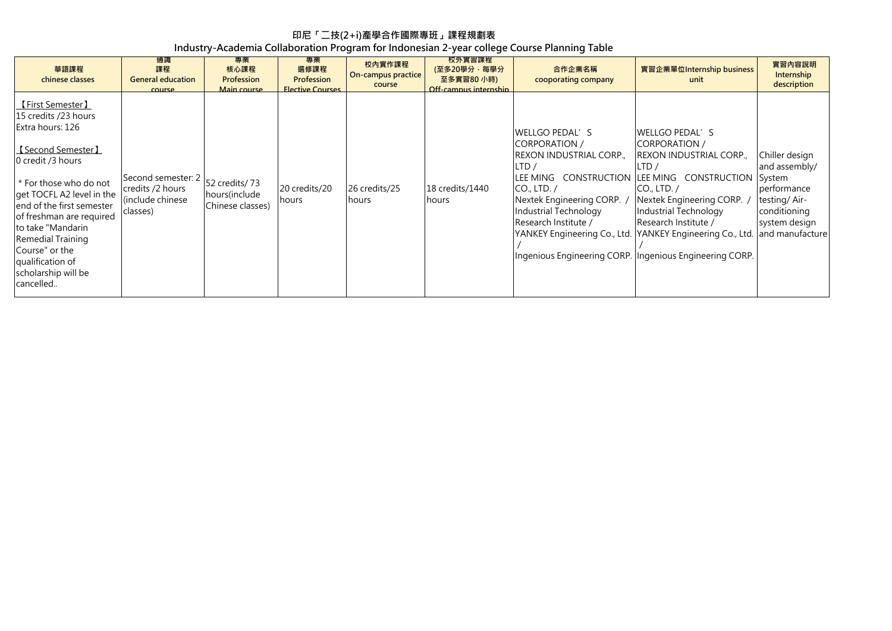## **印尼「二技(2+i)產學合作國際專班」課程規劃表 Industry-Academia Collaboration Program for Indonesian 2-year college Course Planning Table**

| 華語課程<br>chinese classes                                                                                                                                                                                                                                                                                                                      | 通識<br>課程<br><b>General education</b><br><b>COULSE</b>                  | 專業<br>核心課程<br>Profession<br>Main course             | 專業<br>選修課程<br>Profession<br><b>Flective Courses</b> | 校內實作課程<br>On-campus practice<br>course | 校外實習課程<br>(至多20學分,每學分<br>至多實習80 小時)<br>Off-campus internship | 合作企業名稱<br>cooporating company                                                                                                                                                                                                                                                                                                                           | 實習企業單位Internship business<br>unit                                                                                                                                         | 實習內容說明<br>Internship<br>description                                                                                          |
|----------------------------------------------------------------------------------------------------------------------------------------------------------------------------------------------------------------------------------------------------------------------------------------------------------------------------------------------|------------------------------------------------------------------------|-----------------------------------------------------|-----------------------------------------------------|----------------------------------------|--------------------------------------------------------------|---------------------------------------------------------------------------------------------------------------------------------------------------------------------------------------------------------------------------------------------------------------------------------------------------------------------------------------------------------|---------------------------------------------------------------------------------------------------------------------------------------------------------------------------|------------------------------------------------------------------------------------------------------------------------------|
| 【First Semester】<br>15 credits /23 hours<br>Extra hours: 126<br>【Second Semester】<br>0 credit /3 hours<br>* For those who do not<br>get TOCFL A2 level in the<br>lend of the first semester<br>of freshman are required<br>to take "Mandarin"<br>Remedial Training<br>Course" or the<br>qualification of<br>scholarship will be<br>cancelled | Second semester: 2<br>credits /2 hours<br>(include chinese<br>classes) | 52 credits/73<br>hours (include<br>Chinese classes) | 20 credits/20<br>hours                              | 26 credits/25<br>hours                 | 18 credits/1440<br><b>I</b> hours                            | lwellgo pedal's<br><b>CORPORATION /</b><br><b>REXON INDUSTRIAL CORP.,</b><br>LTD/<br>LEE MING CONSTRUCTION LEE MING CONSTRUCTION<br>$CO1$ , LTD. /<br>Nextek Engineering CORP.<br>Industrial Technology<br>Research Institute /<br>YANKEY Engineering Co., Ltd. YANKEY Engineering Co., Ltd.<br>Ingenious Engineering CORP. Ingenious Engineering CORP. | lwellgo pedal's<br>CORPORATION /<br><b>REXON INDUSTRIAL CORP.,</b><br>LTD/<br>$CO1$ , LTD. /<br>Nextek Engineering CORP.<br>Industrial Technology<br>Research Institute / | Chiller design<br>and assembly/<br>System<br>performance<br>testing/Air-<br>conditioning<br>system design<br>and manufacture |